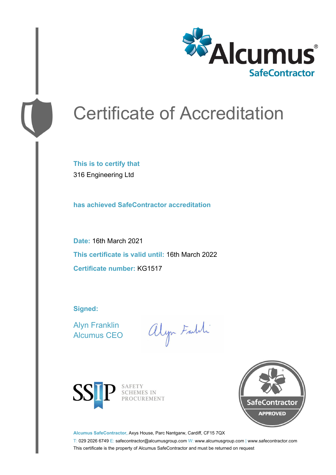

# Certificate of Accreditation

**This is to certify that** 316 Engineering Ltd

**has achieved SafeContractor accreditation**

**Date:** 16th March 2021 **This certificate is valid until:** 16th March 2022 **Certificate number:** KG1517

**Signed:**

Alyn Franklin Alcumus CEO

alyn Faith



SAFETY<br>SCHEMES IN PROCUREMENT



**Alcumus SafeContractor,** Axys House, Parc Nantgarw, Cardiff, CF15 7QX

T: 029 2026 6749 E: safecontractor@alcumusgroup.com W: www.alcumusgroup.com | www.safecontractor.com This certificate is the property of Alcumus SafeContractor and must be returned on request